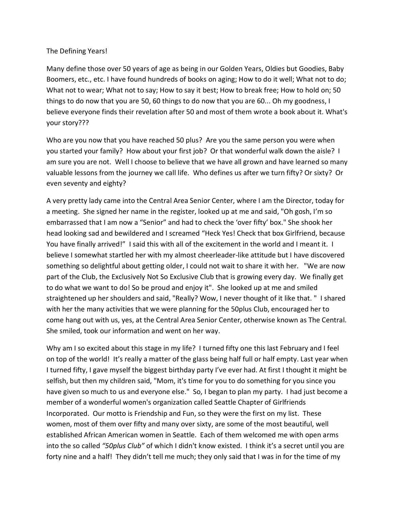## The Defining Years!

Many define those over 50 years of age as being in our Golden Years, Oldies but Goodies, Baby Boomers, etc., etc. I have found hundreds of books on aging; How to do it well; What not to do; What not to wear; What not to say; How to say it best; How to break free; How to hold on; 50 things to do now that you are 50, 60 things to do now that you are 60... Oh my goodness, I believe everyone finds their revelation after 50 and most of them wrote a book about it. What's your story???

Who are you now that you have reached 50 plus? Are you the same person you were when you started your family? How about your first job? Or that wonderful walk down the aisle? I am sure you are not. Well I choose to believe that we have all grown and have learned so many valuable lessons from the journey we call life. Who defines us after we turn fifty? Or sixty? Or even seventy and eighty?

A very pretty lady came into the Central Area Senior Center, where I am the Director, today for a meeting. She signed her name in the register, looked up at me and said, "Oh gosh, I'm so embarrassed that I am now a "Senior" and had to check the 'over fifty' box." She shook her head looking sad and bewildered and I screamed "Heck Yes! Check that box Girlfriend, because You have finally arrived!" I said this with all of the excitement in the world and I meant it. I believe I somewhat startled her with my almost cheerleader-like attitude but I have discovered something so delightful about getting older, I could not wait to share it with her. "We are now part of the Club, the Exclusively Not So Exclusive Club that is growing every day. We finally get to do what we want to do! So be proud and enjoy it". She looked up at me and smiled straightened up her shoulders and said, "Really? Wow, I never thought of it like that. " I shared with her the many activities that we were planning for the 50plus Club, encouraged her to come hang out with us, yes, at the Central Area Senior Center, otherwise known as The Central. She smiled, took our information and went on her way.

Why am I so excited about this stage in my life? I turned fifty one this last February and I feel on top of the world! It's really a matter of the glass being half full or half empty. Last year when I turned fifty, I gave myself the biggest birthday party I've ever had. At first I thought it might be selfish, but then my children said, "Mom, it's time for you to do something for you since you have given so much to us and everyone else." So, I began to plan my party. I had just become a member of a wonderful women's organization called Seattle Chapter of Girlfriends Incorporated. Our motto is Friendship and Fun, so they were the first on my list. These women, most of them over fifty and many over sixty, are some of the most beautiful, well established African American women in Seattle. Each of them welcomed me with open arms into the so called *"50plus Club"* of which I didn't know existed. I think it's a secret until you are forty nine and a half! They didn't tell me much; they only said that I was in for the time of my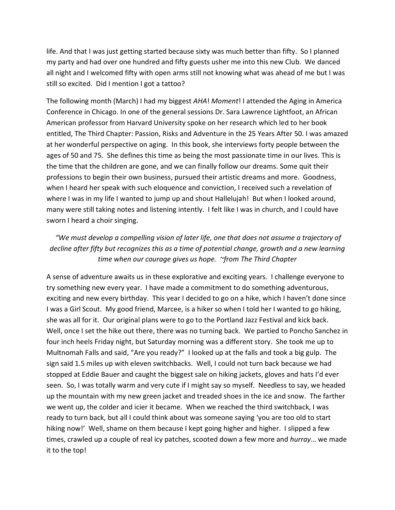life. And that I was just getting started because sixty was much better than fifty. So I planned my party and had over one hundred and fifty guests usher me into this new Club. We danced all night and I welcomed fifty with open arms still not knowing what was ahead of me but I was still so excited. Did I mention I got a tattoo?

The following month (March) I had my biggest *AHA*! *Moment*! I attended the Aging in America Conference in Chicago. In one of the general sessions Dr. Sara Lawrence Lightfoot, an African American professor from Harvard University spoke on her research which led to her book entitled, The Third Chapter: Passion, Risks and Adventure in the 25 Years After 50. I was amazed at her wonderful perspective on aging. In this book, she interviews forty people between the ages of 50 and 75. She defines this time as being the most passionate time in our lives. This is the time that the children are gone, and we can finally follow our dreams. Some quit their professions to begin their own business, pursued their artistic dreams and more. Goodness, when I heard her speak with such eloquence and conviction, I received such a revelation of where I was in my life I wanted to jump up and shout Hallelujah! But when I looked around, many were still taking notes and listening intently. I felt like I was in church, and I could have sworn I heard a choir singing.

## *"We must develop a compelling vision of later life, one that does not assume a trajectory of decline after fifty but recognizes this as a time of potential change, growth and a new learning time when our courage gives us hope. ~from The Third Chapter*

A sense of adventure awaits us in these explorative and exciting years. I challenge everyone to try something new every year. I have made a commitment to do something adventurous, exciting and new every birthday. This year I decided to go on a hike, which I haven't done since I was a Girl Scout. My good friend, Marcee, is a hiker so when I told her I wanted to go hiking, she was all for it. Our original plans were to go to the Portland Jazz Festival and kick back. Well, once I set the hike out there, there was no turning back. We partied to Poncho Sanchez in four inch heels Friday night, but Saturday morning was a different story. She took me up to Multnomah Falls and said, "Are you ready?" I looked up at the falls and took a big gulp. The sign said 1.5 miles up with eleven switchbacks. Well, I could not turn back because we had stopped at Eddie Bauer and caught the biggest sale on hiking jackets, gloves and hats I'd ever seen. So, I was totally warm and very cute if I might say so myself. Needless to say, we headed up the mountain with my new green jacket and treaded shoes in the ice and snow. The farther we went up, the colder and icier it became. When we reached the third switchback, I was ready to turn back, but all I could think about was someone saying 'you are too old to start hiking now!' Well, shame on them because I kept going higher and higher. I slipped a few times, crawled up a couple of real icy patches, scooted down a few more and *hurray*… we made it to the top!